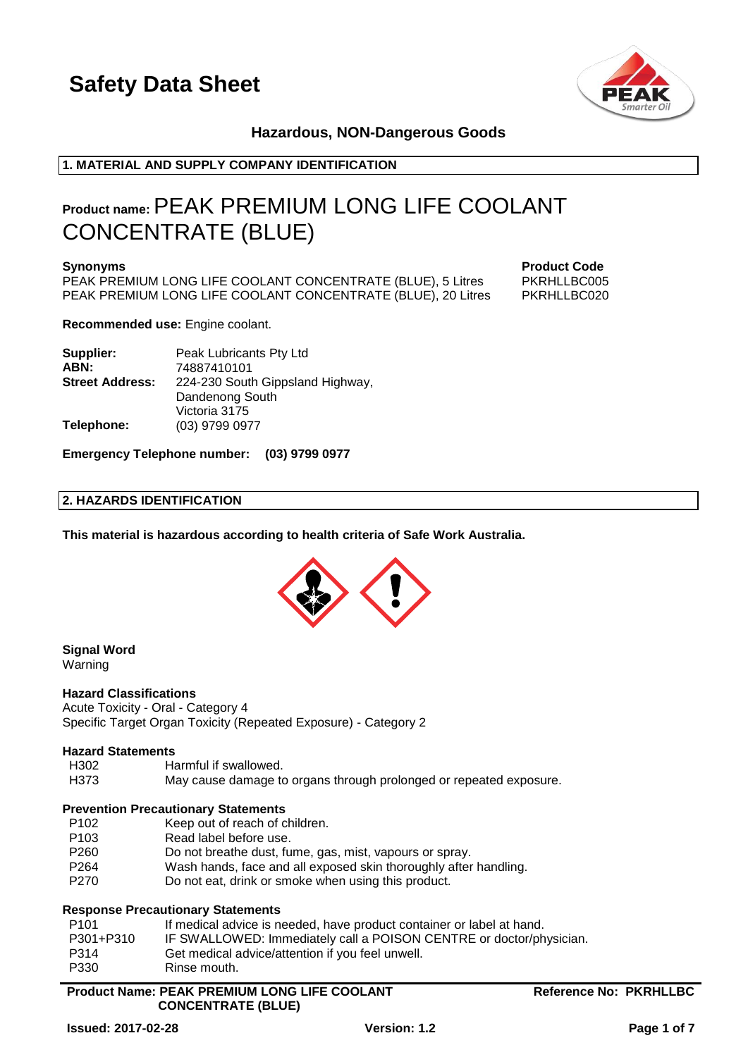

### **Hazardous, NON-Dangerous Goods**

### **1. MATERIAL AND SUPPLY COMPANY IDENTIFICATION**

### **Product name:**PEAK PREMIUM LONG LIFE COOLANT CONCENTRATE (BLUE)

**Synonyms Product Code** PEAK PREMIUM LONG LIFE COOLANT CONCENTRATE (BLUE), 5 Litres PEAK PREMIUM LONG LIFE COOLANT CONCENTRATE (BLUE), 20 Litres PKRHLLBC020

**Recommended use:** Engine coolant.

| Supplier:              | Peak Lubricants Pty Ltd          |
|------------------------|----------------------------------|
| ABN:                   | 74887410101                      |
| <b>Street Address:</b> | 224-230 South Gippsland Highway, |
|                        | Dandenong South                  |
|                        | Victoria 3175                    |
| Telephone:             | (03) 9799 0977                   |

**Emergency Telephone number: (03) 9799 0977**

### **2. HAZARDS IDENTIFICATION**

**This material is hazardous according to health criteria of Safe Work Australia.**



### **Signal Word**

Warning

### **Hazard Classifications**

Acute Toxicity - Oral - Category 4 Specific Target Organ Toxicity (Repeated Exposure) - Category 2

### **Hazard Statements**

Harmful if swallowed

H373 May cause damage to organs through prolonged or repeated exposure.

### **Prevention Precautionary Statements**

- P102 Keep out of reach of children.
- P103 Read label before use.
- P260 Do not breathe dust, fume, gas, mist, vapours or spray.
- P264 Wash hands, face and all exposed skin thoroughly after handling.
- P270 Do not eat, drink or smoke when using this product.

### **Response Precautionary Statements**

| P <sub>101</sub> | If medical advice is needed, have product container or label at hand. |
|------------------|-----------------------------------------------------------------------|
| P301+P310        | IF SWALLOWED: Immediately call a POISON CENTRE or doctor/physician.   |
| P314             | Get medical advice/attention if you feel unwell.                      |
| P330             | Rinse mouth.                                                          |

### **Product Name: PEAK PREMIUM LONG LIFE COOLANT CONCENTRATE (BLUE)**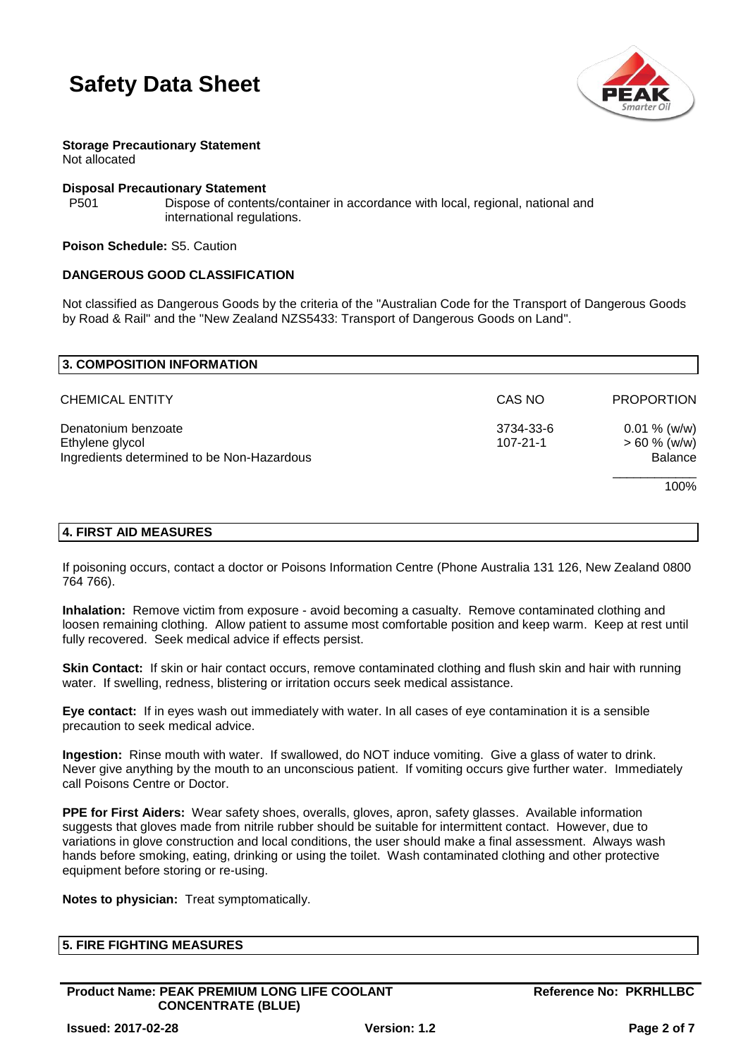



**Storage Precautionary Statement** Not allocated

### **Disposal Precautionary Statement**

P501 Dispose of contents/container in accordance with local, regional, national and international regulations.

**Poison Schedule:** S5. Caution

#### **DANGEROUS GOOD CLASSIFICATION**

Not classified as Dangerous Goods by the criteria of the "Australian Code for the Transport of Dangerous Goods by Road & Rail" and the "New Zealand NZS5433: Transport of Dangerous Goods on Land".

| 3. COMPOSITION INFORMATION                                                           |                             |                                                      |
|--------------------------------------------------------------------------------------|-----------------------------|------------------------------------------------------|
| <b>CHEMICAL ENTITY</b>                                                               | CAS NO                      | <b>PROPORTION</b>                                    |
| Denatonium benzoate<br>Ethylene glycol<br>Ingredients determined to be Non-Hazardous | 3734-33-6<br>$107 - 21 - 1$ | $0.01 \%$ (w/w)<br>$> 60 \%$ (w/w)<br><b>Balance</b> |
|                                                                                      |                             | 100%                                                 |
| $-1 - 2 =$                                                                           |                             |                                                      |

### **4. FIRST AID MEASURES**

If poisoning occurs, contact a doctor or Poisons Information Centre (Phone Australia 131 126, New Zealand 0800 764 766).

**Inhalation:** Remove victim from exposure - avoid becoming a casualty. Remove contaminated clothing and loosen remaining clothing. Allow patient to assume most comfortable position and keep warm. Keep at rest until fully recovered. Seek medical advice if effects persist.

**Skin Contact:** If skin or hair contact occurs, remove contaminated clothing and flush skin and hair with running water. If swelling, redness, blistering or irritation occurs seek medical assistance.

**Eye contact:** If in eyes wash out immediately with water. In all cases of eye contamination it is a sensible precaution to seek medical advice.

**Ingestion:** Rinse mouth with water. If swallowed, do NOT induce vomiting. Give a glass of water to drink. Never give anything by the mouth to an unconscious patient. If vomiting occurs give further water. Immediately call Poisons Centre or Doctor.

**PPE for First Aiders:** Wear safety shoes, overalls, gloves, apron, safety glasses. Available information suggests that gloves made from nitrile rubber should be suitable for intermittent contact. However, due to variations in glove construction and local conditions, the user should make a final assessment. Always wash hands before smoking, eating, drinking or using the toilet. Wash contaminated clothing and other protective equipment before storing or re-using.

**Notes to physician:** Treat symptomatically.

|  | <b>5. FIRE FIGHTING MEASURES</b> |  |  |
|--|----------------------------------|--|--|
|--|----------------------------------|--|--|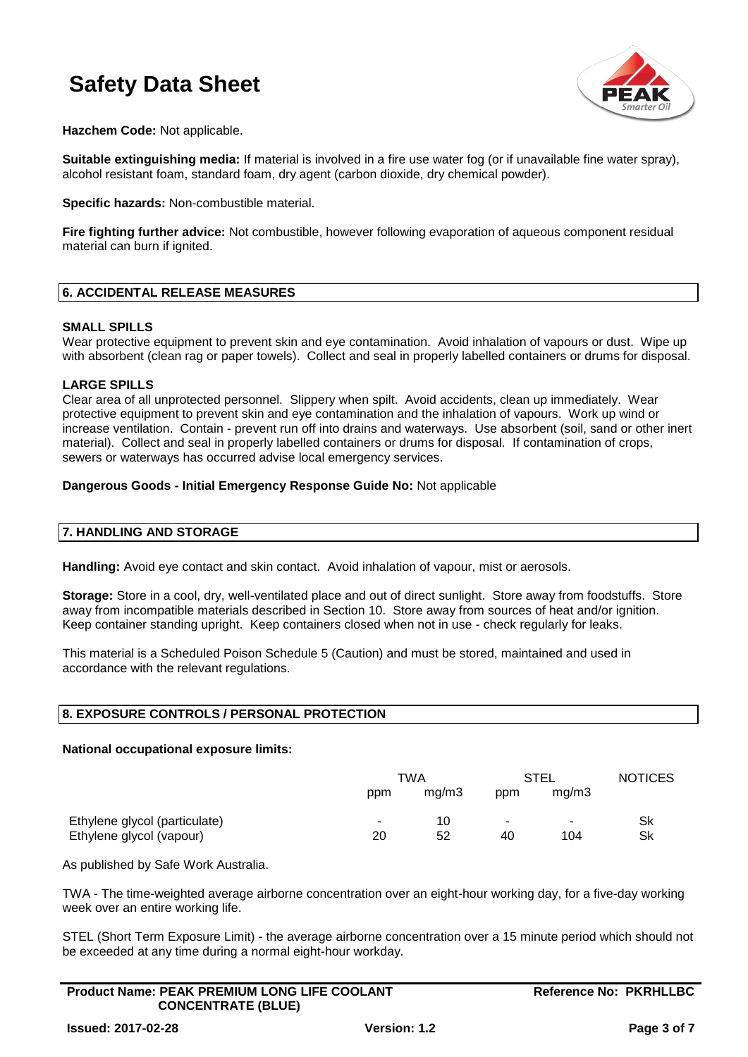

**Hazchem Code:** Not applicable.

**Suitable extinguishing media:** If material is involved in a fire use water fog (or if unavailable fine water spray), alcohol resistant foam, standard foam, dry agent (carbon dioxide, dry chemical powder).

**Specific hazards:** Non-combustible material.

**Fire fighting further advice:** Not combustible, however following evaporation of aqueous component residual material can burn if ignited.

### **6. ACCIDENTAL RELEASE MEASURES**

### **SMALL SPILLS**

Wear protective equipment to prevent skin and eye contamination. Avoid inhalation of vapours or dust. Wipe up with absorbent (clean rag or paper towels). Collect and seal in properly labelled containers or drums for disposal.

### **LARGE SPILLS**

Clear area of all unprotected personnel. Slippery when spilt. Avoid accidents, clean up immediately. Wear protective equipment to prevent skin and eye contamination and the inhalation of vapours. Work up wind or increase ventilation. Contain - prevent run off into drains and waterways. Use absorbent (soil, sand or other inert material). Collect and seal in properly labelled containers or drums for disposal. If contamination of crops, sewers or waterways has occurred advise local emergency services.

### **Dangerous Goods - Initial Emergency Response Guide No:** Not applicable

### **7. HANDLING AND STORAGE**

**Handling:** Avoid eye contact and skin contact. Avoid inhalation of vapour, mist or aerosols.

**Storage:** Store in a cool, dry, well-ventilated place and out of direct sunlight. Store away from foodstuffs. Store away from incompatible materials described in Section 10. Store away from sources of heat and/or ignition. Keep container standing upright. Keep containers closed when not in use - check regularly for leaks.

This material is a Scheduled Poison Schedule 5 (Caution) and must be stored, maintained and used in accordance with the relevant regulations.

### **8. EXPOSURE CONTROLS / PERSONAL PROTECTION**

### **National occupational exposure limits:**

|                                                           |     | TWA      |         | STEL          | <b>NOTICES</b> |
|-----------------------------------------------------------|-----|----------|---------|---------------|----------------|
|                                                           | ppm | mq/m3    | ppm     | mq/m3         |                |
| Ethylene glycol (particulate)<br>Ethylene glycol (vapour) | 20  | 10<br>52 | ٠<br>40 | $\sim$<br>104 | Sk<br>Sk       |

As published by Safe Work Australia.

TWA - The time-weighted average airborne concentration over an eight-hour working day, for a five-day working week over an entire working life.

STEL (Short Term Exposure Limit) - the average airborne concentration over a 15 minute period which should not be exceeded at any time during a normal eight-hour workday.

| <b>Product Name: PEAK PREMIUM LONG LIFE COOLANT</b> |  |
|-----------------------------------------------------|--|
| <b>CONCENTRATE (BLUE)</b>                           |  |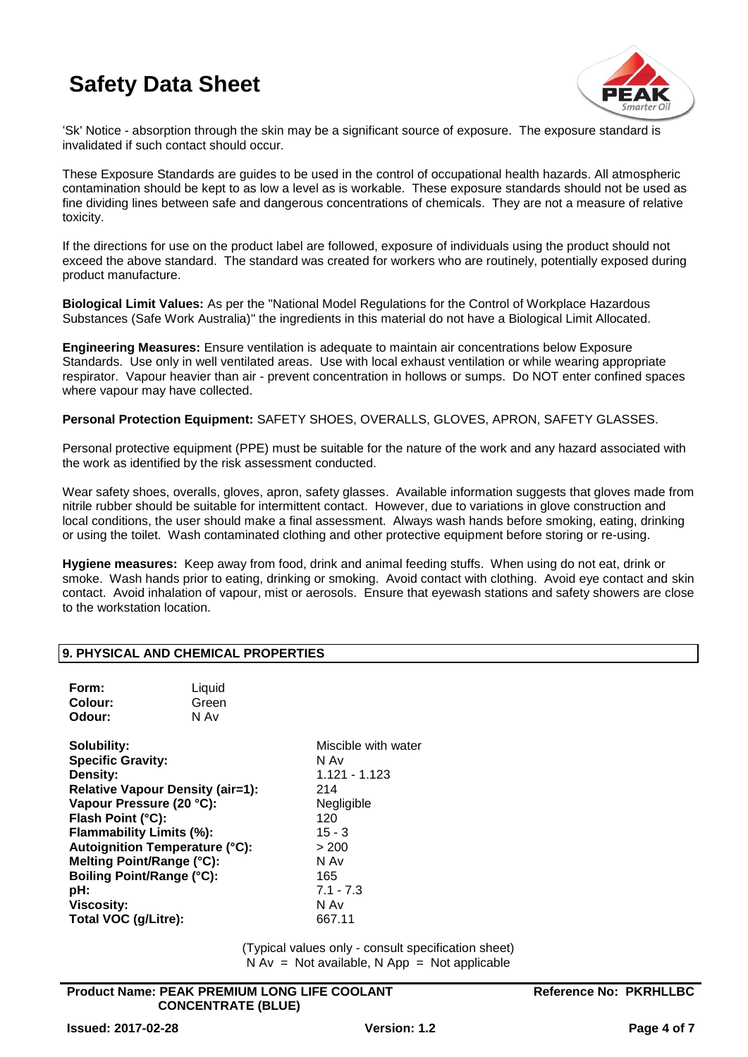

'Sk' Notice - absorption through the skin may be a significant source of exposure. The exposure standard is invalidated if such contact should occur.

These Exposure Standards are guides to be used in the control of occupational health hazards. All atmospheric contamination should be kept to as low a level as is workable. These exposure standards should not be used as fine dividing lines between safe and dangerous concentrations of chemicals. They are not a measure of relative toxicity.

If the directions for use on the product label are followed, exposure of individuals using the product should not exceed the above standard. The standard was created for workers who are routinely, potentially exposed during product manufacture.

**Biological Limit Values:** As per the "National Model Regulations for the Control of Workplace Hazardous Substances (Safe Work Australia)" the ingredients in this material do not have a Biological Limit Allocated.

**Engineering Measures:** Ensure ventilation is adequate to maintain air concentrations below Exposure Standards. Use only in well ventilated areas. Use with local exhaust ventilation or while wearing appropriate respirator. Vapour heavier than air - prevent concentration in hollows or sumps. Do NOT enter confined spaces where vapour may have collected.

**Personal Protection Equipment:** SAFETY SHOES, OVERALLS, GLOVES, APRON, SAFETY GLASSES.

Personal protective equipment (PPE) must be suitable for the nature of the work and any hazard associated with the work as identified by the risk assessment conducted.

Wear safety shoes, overalls, gloves, apron, safety glasses. Available information suggests that gloves made from nitrile rubber should be suitable for intermittent contact. However, due to variations in glove construction and local conditions, the user should make a final assessment. Always wash hands before smoking, eating, drinking or using the toilet. Wash contaminated clothing and other protective equipment before storing or re-using.

**Hygiene measures:** Keep away from food, drink and animal feeding stuffs. When using do not eat, drink or smoke. Wash hands prior to eating, drinking or smoking. Avoid contact with clothing. Avoid eye contact and skin contact. Avoid inhalation of vapour, mist or aerosols. Ensure that eyewash stations and safety showers are close to the workstation location.

### **9. PHYSICAL AND CHEMICAL PROPERTIES**

| Form:   | Liquid |
|---------|--------|
| Colour: | Green  |
| Odour:  | N Av   |

**Solubility:** Miscible with water **Specific Gravity:** N Av **Density:** 1.121 - 1.123 **Relative Vapour Density (air=1):** 214 Vapour Pressure (20 °C): Negligible **Flash Point (°C):** 120 **Flammability Limits (%):** 15 - 3 Autoignition Temperature (°C): > 200 **Melting Point/Range (°C):** N Av **Boiling Point/Range (°C):** 165 **pH:** 7.1 - 7.3 **Viscosity:** N Av **Total VOC (g/Litre):** 667.11

(Typical values only - consult specification sheet)  $N Av = Not available$ . N App = Not applicable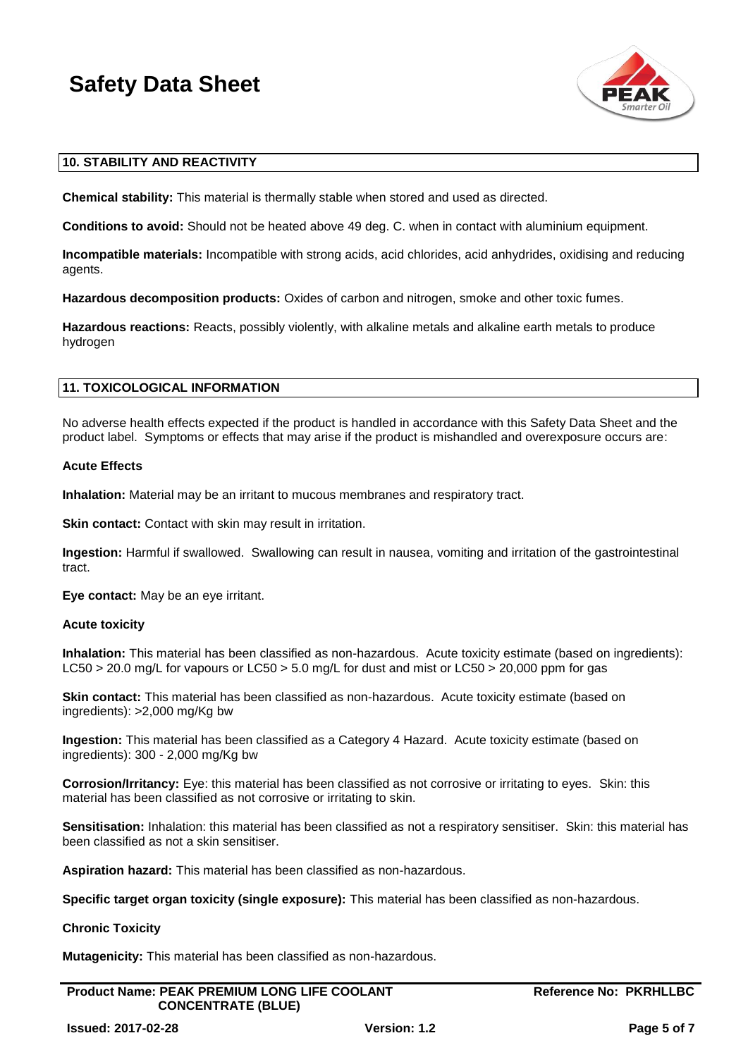

### **10. STABILITY AND REACTIVITY**

**Chemical stability:** This material is thermally stable when stored and used as directed.

**Conditions to avoid:** Should not be heated above 49 deg. C. when in contact with aluminium equipment.

**Incompatible materials:** Incompatible with strong acids, acid chlorides, acid anhydrides, oxidising and reducing agents.

**Hazardous decomposition products:** Oxides of carbon and nitrogen, smoke and other toxic fumes.

**Hazardous reactions:** Reacts, possibly violently, with alkaline metals and alkaline earth metals to produce hydrogen

### **11. TOXICOLOGICAL INFORMATION**

No adverse health effects expected if the product is handled in accordance with this Safety Data Sheet and the product label. Symptoms or effects that may arise if the product is mishandled and overexposure occurs are:

### **Acute Effects**

**Inhalation:** Material may be an irritant to mucous membranes and respiratory tract.

**Skin contact:** Contact with skin may result in irritation.

**Ingestion:** Harmful if swallowed. Swallowing can result in nausea, vomiting and irritation of the gastrointestinal tract.

**Eye contact:** May be an eye irritant.

### **Acute toxicity**

**Inhalation:** This material has been classified as non-hazardous. Acute toxicity estimate (based on ingredients): LC50 > 20.0 mg/L for vapours or LC50 > 5.0 mg/L for dust and mist or LC50 > 20,000 ppm for gas

**Skin contact:** This material has been classified as non-hazardous. Acute toxicity estimate (based on ingredients): >2,000 mg/Kg bw

**Ingestion:** This material has been classified as a Category 4 Hazard. Acute toxicity estimate (based on ingredients): 300 - 2,000 mg/Kg bw

**Corrosion/Irritancy:** Eye: this material has been classified as not corrosive or irritating to eyes. Skin: this material has been classified as not corrosive or irritating to skin.

**Sensitisation:** Inhalation: this material has been classified as not a respiratory sensitiser. Skin: this material has been classified as not a skin sensitiser.

**Aspiration hazard:** This material has been classified as non-hazardous.

**Specific target organ toxicity (single exposure):** This material has been classified as non-hazardous.

### **Chronic Toxicity**

**Mutagenicity:** This material has been classified as non-hazardous.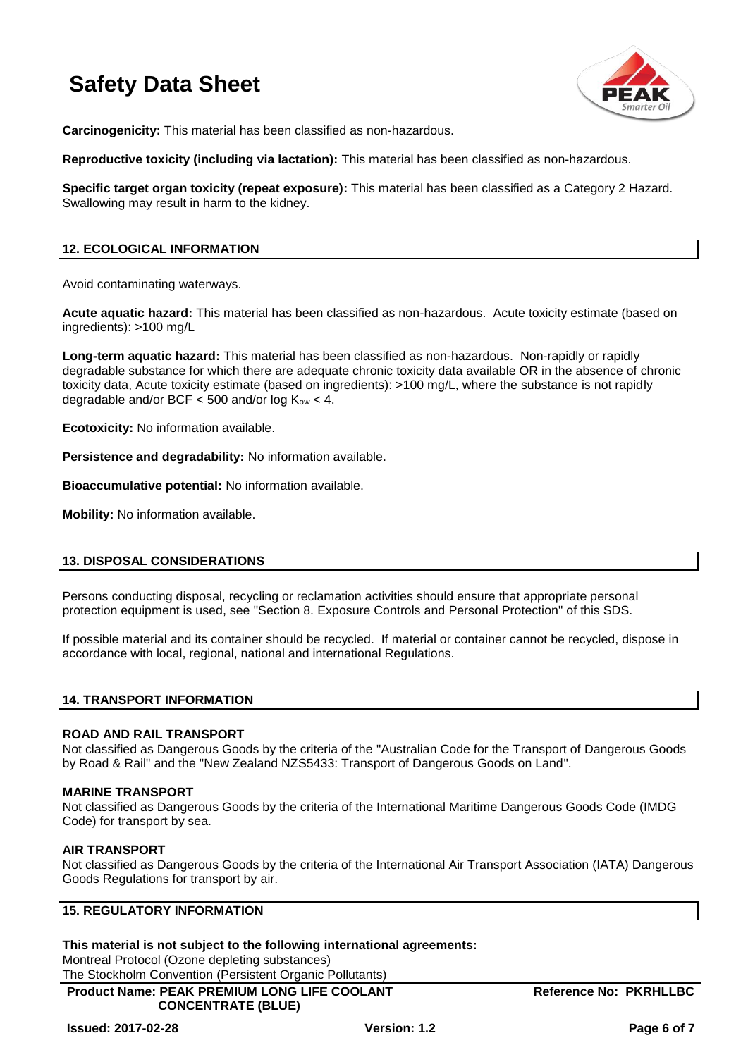

**Carcinogenicity:** This material has been classified as non-hazardous.

**Reproductive toxicity (including via lactation):** This material has been classified as non-hazardous.

**Specific target organ toxicity (repeat exposure):** This material has been classified as a Category 2 Hazard. Swallowing may result in harm to the kidney.

### **12. ECOLOGICAL INFORMATION**

Avoid contaminating waterways.

**Acute aquatic hazard:** This material has been classified as non-hazardous. Acute toxicity estimate (based on ingredients): >100 mg/L

**Long-term aquatic hazard:** This material has been classified as non-hazardous. Non-rapidly or rapidly degradable substance for which there are adequate chronic toxicity data available OR in the absence of chronic toxicity data, Acute toxicity estimate (based on ingredients): >100 mg/L, where the substance is not rapidly degradable and/or BCF  $<$  500 and/or log  $K_{ow}$   $<$  4.

**Ecotoxicity:** No information available.

**Persistence and degradability:** No information available.

**Bioaccumulative potential:** No information available.

**Mobility:** No information available.

### **13. DISPOSAL CONSIDERATIONS**

Persons conducting disposal, recycling or reclamation activities should ensure that appropriate personal protection equipment is used, see "Section 8. Exposure Controls and Personal Protection" of this SDS.

If possible material and its container should be recycled. If material or container cannot be recycled, dispose in accordance with local, regional, national and international Regulations.

### **14. TRANSPORT INFORMATION**

### **ROAD AND RAIL TRANSPORT**

Not classified as Dangerous Goods by the criteria of the "Australian Code for the Transport of Dangerous Goods by Road & Rail" and the "New Zealand NZS5433: Transport of Dangerous Goods on Land".

#### **MARINE TRANSPORT**

Not classified as Dangerous Goods by the criteria of the International Maritime Dangerous Goods Code (IMDG Code) for transport by sea.

#### **AIR TRANSPORT**

Not classified as Dangerous Goods by the criteria of the International Air Transport Association (IATA) Dangerous Goods Regulations for transport by air.

### **15. REGULATORY INFORMATION**

### **This material is not subject to the following international agreements:**

Montreal Protocol (Ozone depleting substances)

**Product Name: PEAK PREMIUM LONG LIFE COOLANT CONCENTRATE (BLUE)**  The Stockholm Convention (Persistent Organic Pollutants)